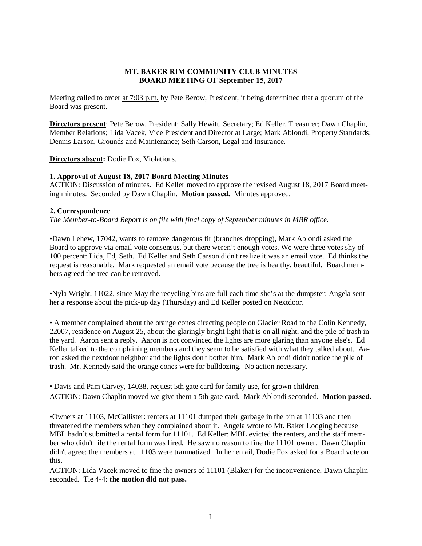# MT. BAKER RIM COMMUNITY CLUB MINUTES BOARD MEETING OF September 15, 2017

Meeting called to order at 7:03 p.m. by Pete Berow, President, it being determined that a quorum of the Board was present.

Directors present: Pete Berow, President; Sally Hewitt, Secretary; Ed Keller, Treasurer; Dawn Chaplin, Member Relations; Lida Vacek, Vice President and Director at Large; Mark Ablondi, Property Standards; Dennis Larson, Grounds and Maintenance; Seth Carson, Legal and Insurance.

Directors absent: Dodie Fox, Violations.

# 1. Approval of August 18, 2017 Board Meeting Minutes

ACTION: Discussion of minutes. Ed Keller moved to approve the revised August 18, 2017 Board meeting minutes. Seconded by Dawn Chaplin. Motion passed. Minutes approved.

# 2. Correspondence

*The Member-to-Board Report is on file with final copy of September minutes in MBR office.*

•Dawn Lehew, 17042, wants to remove dangerous fir (branches dropping), Mark Ablondi asked the Board to approve via email vote consensus, but there weren't enough votes. We were three votes shy of 100 percent: Lida, Ed, Seth. Ed Keller and Seth Carson didn't realize it was an email vote. Ed thinks the request is reasonable. Mark requested an email vote because the tree is healthy, beautiful. Board members agreed the tree can be removed.

•Nyla Wright, 11022, since May the recycling bins are full each time she's at the dumpster: Angela sent her a response about the pick-up day (Thursday) and Ed Keller posted on Nextdoor.

• A member complained about the orange cones directing people on Glacier Road to the Colin Kennedy, 22007, residence on August 25, about the glaringly bright light that is on all night, and the pile of trash in the yard. Aaron sent a reply. Aaron is not convinced the lights are more glaring than anyone else's. Ed Keller talked to the complaining members and they seem to be satisfied with what they talked about. Aaron asked the nextdoor neighbor and the lights don't bother him. Mark Ablondi didn't notice the pile of trash. Mr. Kennedy said the orange cones were for bulldozing. No action necessary.

• Davis and Pam Carvey, 14038, request 5th gate card for family use, for grown children. ACTION: Dawn Chaplin moved we give them a 5th gate card. Mark Ablondi seconded. Motion passed.

•Owners at 11103, McCallister: renters at 11101 dumped their garbage in the bin at 11103 and then threatened the members when they complained about it. Angela wrote to Mt. Baker Lodging because MBL hadn't submitted a rental form for 11101. Ed Keller: MBL evicted the renters, and the staff member who didn't file the rental form was fired. He saw no reason to fine the 11101 owner. Dawn Chaplin didn't agree: the members at 11103 were traumatized. In her email, Dodie Fox asked for a Board vote on this.

ACTION: Lida Vacek moved to fine the owners of 11101 (Blaker) for the inconvenience, Dawn Chaplin seconded. Tie 4-4: the motion did not pass.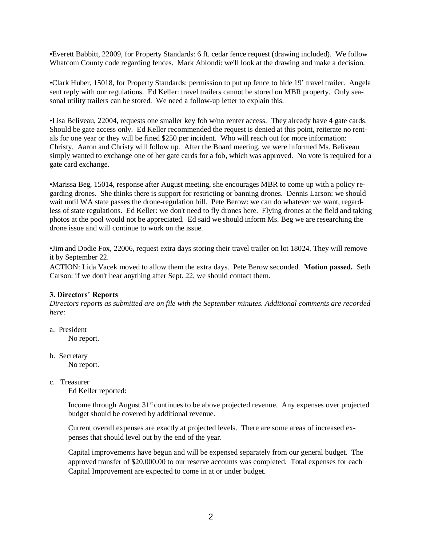•Everett Babbitt, 22009, for Property Standards: 6 ft. cedar fence request (drawing included). We follow Whatcom County code regarding fences. Mark Ablondi: we'll look at the drawing and make a decision.

•Clark Huber, 15018, for Property Standards: permission to put up fence to hide 19' travel trailer. Angela sent reply with our regulations. Ed Keller: travel trailers cannot be stored on MBR property. Only seasonal utility trailers can be stored. We need a follow-up letter to explain this.

•Lisa Beliveau, 22004, requests one smaller key fob w/no renter access. They already have 4 gate cards. Should be gate access only. Ed Keller recommended the request is denied at this point, reiterate no rentals for one year or they will be fined \$250 per incident. Who will reach out for more information: Christy. Aaron and Christy will follow up. After the Board meeting, we were informed Ms. Beliveau simply wanted to exchange one of her gate cards for a fob, which was approved. No vote is required for a gate card exchange.

•Marissa Beg, 15014, response after August meeting, she encourages MBR to come up with a policy regarding drones. She thinks there is support for restricting or banning drones. Dennis Larson: we should wait until WA state passes the drone-regulation bill. Pete Berow: we can do whatever we want, regardless of state regulations. Ed Keller: we don't need to fly drones here. Flying drones at the field and taking photos at the pool would not be appreciated. Ed said we should inform Ms. Beg we are researching the drone issue and will continue to work on the issue.

•Jim and Dodie Fox, 22006, request extra days storing their travel trailer on lot 18024. They will remove it by September 22.

ACTION: Lida Vacek moved to allow them the extra days. Pete Berow seconded. Motion passed. Seth Carson: if we don't hear anything after Sept. 22, we should contact them.

# 3. Directors' Reports

*Directors reports as submitted are on file with the September minutes. Additional comments are recorded here:*

a. President

No report.

b. Secretary

No report.

c. Treasurer

Ed Keller reported:

Income through August 31<sup>st</sup> continues to be above projected revenue. Any expenses over projected budget should be covered by additional revenue.

Current overall expenses are exactly at projected levels. There are some areas of increased expenses that should level out by the end of the year.

Capital improvements have begun and will be expensed separately from our general budget. The approved transfer of \$20,000.00 to our reserve accounts was completed. Total expenses for each Capital Improvement are expected to come in at or under budget.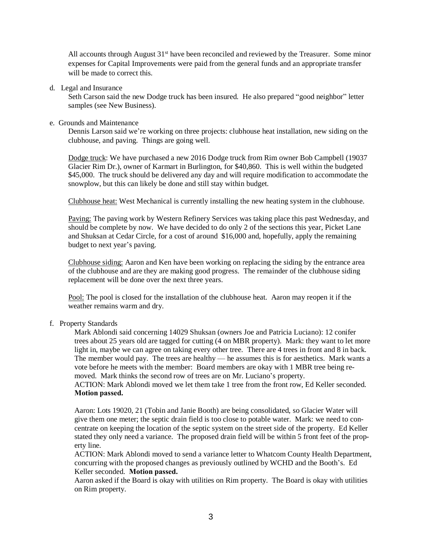All accounts through August 31<sup>st</sup> have been reconciled and reviewed by the Treasurer. Some minor expenses for Capital Improvements were paid from the general funds and an appropriate transfer will be made to correct this.

d. Legal and Insurance

Seth Carson said the new Dodge truck has been insured. He also prepared "good neighbor" letter samples (see New Business).

### e. Grounds and Maintenance

Dennis Larson said we're working on three projects: clubhouse heat installation, new siding on the clubhouse, and paving. Things are going well.

Dodge truck: We have purchased a new 2016 Dodge truck from Rim owner Bob Campbell (19037 Glacier Rim Dr.), owner of Karmart in Burlington, for \$40,860. This is well within the budgeted \$45,000. The truck should be delivered any day and will require modification to accommodate the snowplow, but this can likely be done and still stay within budget.

Clubhouse heat: West Mechanical is currently installing the new heating system in the clubhouse.

Paving: The paving work by Western Refinery Services was taking place this past Wednesday, and should be complete by now. We have decided to do only 2 of the sections this year, Picket Lane and Shuksan at Cedar Circle, for a cost of around \$16,000 and, hopefully, apply the remaining budget to next year's paving.

Clubhouse siding: Aaron and Ken have been working on replacing the siding by the entrance area of the clubhouse and are they are making good progress. The remainder of the clubhouse siding replacement will be done over the next three years.

Pool: The pool is closed for the installation of the clubhouse heat. Aaron may reopen it if the weather remains warm and dry.

f. Property Standards

Mark Ablondi said concerning 14029 Shuksan (owners Joe and Patricia Luciano): 12 conifer trees about 25 years old are tagged for cutting (4 on MBR property). Mark: they want to let more light in, maybe we can agree on taking every other tree. There are 4 trees in front and 8 in back. The member would pay. The trees are healthy — he assumes this is for aesthetics. Mark wants a vote before he meets with the member: Board members are okay with 1 MBR tree being removed. Mark thinks the second row of trees are on Mr. Luciano's property.

ACTION: Mark Ablondi moved we let them take 1 tree from the front row, Ed Keller seconded. Motion passed.

Aaron: Lots 19020, 21 (Tobin and Janie Booth) are being consolidated, so Glacier Water will give them one meter; the septic drain field is too close to potable water. Mark: we need to concentrate on keeping the location of the septic system on the street side of the property. Ed Keller stated they only need a variance. The proposed drain field will be within 5 front feet of the property line.

ACTION: Mark Ablondi moved to send a variance letter to Whatcom County Health Department, concurring with the proposed changes as previously outlined by WCHD and the Booth's. Ed Keller seconded. Motion passed.

Aaron asked if the Board is okay with utilities on Rim property. The Board is okay with utilities on Rim property.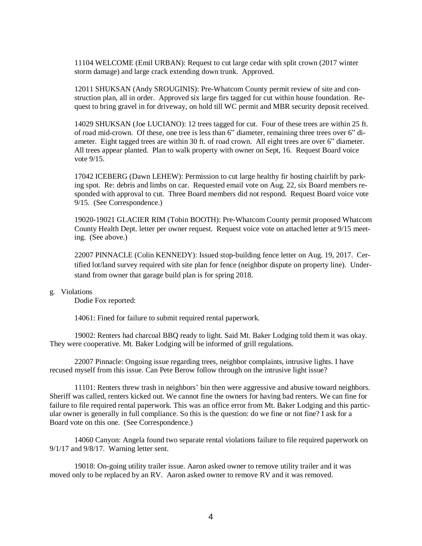11104 WELCOME (Emil URBAN): Request to cut large cedar with split crown (2017 winter storm damage) and large crack extending down trunk. Approved.

12011 SHUKSAN (Andy SROUGINIS): Pre-Whatcom County permit review of site and construction plan, all in order. Approved six large firs tagged for cut within house foundation. Request to bring gravel in for driveway, on hold till WC permit and MBR security deposit received.

14029 SHUKSAN (Joe LUCIANO): 12 trees tagged for cut. Four of these trees are within 25 ft. of road mid-crown. Of these, one tree is less than 6" diameter, remaining three trees over 6" diameter. Eight tagged trees are within 30 ft. of road crown. All eight trees are over 6" diameter. All trees appear planted. Plan to walk property with owner on Sept, 16. Request Board voice vote 9/15.

17042 ICEBERG (Dawn LEHEW): Permission to cut large healthy fir hosting chairlift by parking spot. Re: debris and limbs on car. Requested email vote on Aug. 22, six Board members responded with approval to cut. Three Board members did not respond. Request Board voice vote 9/15. (See Correspondence.)

19020-19021 GLACIER RIM (Tobin BOOTH): Pre-Whatcom County permit proposed Whatcom County Health Dept. letter per owner request. Request voice vote on attached letter at 9/15 meeting. (See above.)

22007 PINNACLE (Colin KENNEDY): Issued stop-building fence letter on Aug. 19, 2017. Certified lot/land survey required with site plan for fence (neighbor dispute on property line). Understand from owner that garage build plan is for spring 2018.

#### g. Violations

Dodie Fox reported:

14061: Fined for failure to submit required rental paperwork.

19002: Renters had charcoal BBQ ready to light. Said Mt. Baker Lodging told them it was okay. They were cooperative. Mt. Baker Lodging will be informed of grill regulations.

22007 Pinnacle: Ongoing issue regarding trees, neighbor complaints, intrusive lights. I have recused myself from this issue. Can Pete Berow follow through on the intrusive light issue?

11101: Renters threw trash in neighbors' bin then were aggressive and abusive toward neighbors. Sheriff was called, renters kicked out. We cannot fine the owners for having bad renters. We can fine for failure to file required rental paperwork. This was an office error from Mt. Baker Lodging and this particular owner is generally in full compliance. So this is the question: do we fine or not fine? I ask for a Board vote on this one. (See Correspondence.)

14060 Canyon: Angela found two separate rental violations failure to file required paperwork on 9/1/17 and 9/8/17. Warning letter sent.

19018: On-going utility trailer issue. Aaron asked owner to remove utility trailer and it was moved only to be replaced by an RV. Aaron asked owner to remove RV and it was removed.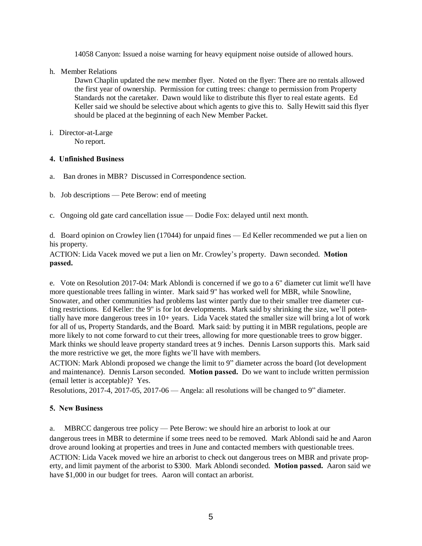14058 Canyon: Issued a noise warning for heavy equipment noise outside of allowed hours.

h. Member Relations

Dawn Chaplin updated the new member flyer. Noted on the flyer: There are no rentals allowed the first year of ownership. Permission for cutting trees: change to permission from Property Standards not the caretaker. Dawn would like to distribute this flyer to real estate agents. Ed Keller said we should be selective about which agents to give this to. Sally Hewitt said this flyer should be placed at the beginning of each New Member Packet.

i. Director-at-Large

No report.

### 4. Unfinished Business

- a. Ban drones in MBR? Discussed in Correspondence section.
- b. Job descriptions Pete Berow: end of meeting

c. Ongoing old gate card cancellation issue — Dodie Fox: delayed until next month.

d. Board opinion on Crowley lien (17044) for unpaid fines — Ed Keller recommended we put a lien on his property.

ACTION: Lida Vacek moved we put a lien on Mr. Crowley's property. Dawn seconded. Motion passed.

e. Vote on Resolution 2017-04: Mark Ablondi is concerned if we go to a 6" diameter cut limit we'll have more questionable trees falling in winter. Mark said 9" has worked well for MBR, while Snowline, Snowater, and other communities had problems last winter partly due to their smaller tree diameter cutting restrictions. Ed Keller: the 9" is for lot developments. Mark said by shrinking the size, we'll potentially have more dangerous trees in 10+ years. Lida Vacek stated the smaller size will bring a lot of work for all of us, Property Standards, and the Board. Mark said: by putting it in MBR regulations, people are more likely to not come forward to cut their trees, allowing for more questionable trees to grow bigger. Mark thinks we should leave property standard trees at 9 inches. Dennis Larson supports this. Mark said the more restrictive we get, the more fights we'll have with members.

ACTION: Mark Ablondi proposed we change the limit to 9" diameter across the board (lot development and maintenance). Dennis Larson seconded. Motion passed. Do we want to include written permission (email letter is acceptable)? Yes.

Resolutions, 2017-4, 2017-05, 2017-06 — Angela: all resolutions will be changed to 9" diameter.

# 5. New Business

a. MBRCC dangerous tree policy — Pete Berow: we should hire an arborist to look at our dangerous trees in MBR to determine if some trees need to be removed. Mark Ablondi said he and Aaron drove around looking at properties and trees in June and contacted members with questionable trees. ACTION: Lida Vacek moved we hire an arborist to check out dangerous trees on MBR and private property, and limit payment of the arborist to \$300. Mark Ablondi seconded. Motion passed. Aaron said we have \$1,000 in our budget for trees. Aaron will contact an arborist.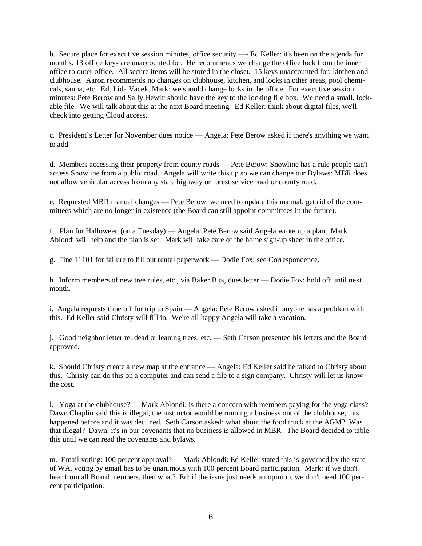b. Secure place for executive session minutes, office security —- Ed Keller: it's been on the agenda for months, 13 office keys are unaccounted for. He recommends we change the office lock from the inner office to outer office. All secure items will be stored in the closet. 15 keys unaccounted for: kitchen and clubhouse. Aaron recommends no changes on clubhouse, kitchen, and locks in other areas, pool chemicals, sauna, etc. Ed, Lida Vacek, Mark: we should change locks in the office. For executive session minutes: Pete Berow and Sally Hewitt should have the key to the locking file box. We need a small, lockable file. We will talk about this at the next Board meeting. Ed Keller: think about digital files, we'll check into getting Cloud access.

c. President's Letter for November dues notice — Angela: Pete Berow asked if there's anything we want to add.

d. Members accessing their property from county roads — Pete Berow: Snowline has a rule people can't access Snowline from a public road. Angela will write this up so we can change our Bylaws: MBR does not allow vehicular access from any state highway or forest service road or county road.

e. Requested MBR manual changes — Pete Berow: we need to update this manual, get rid of the committees which are no longer in existence (the Board can still appoint committees in the future).

f. Plan for Halloween (on a Tuesday) — Angela: Pete Berow said Angela wrote up a plan. Mark Ablondi will help and the plan is set. Mark will take care of the home sign-up sheet in the office.

g. Fine 11101 for failure to fill out rental paperwork — Dodie Fox: see Correspondence.

h. Inform members of new tree rules, etc., via Baker Bits, dues letter — Dodie Fox: hold off until next month.

i. Angela requests time off for trip to Spain — Angela: Pete Berow asked if anyone has a problem with this. Ed Keller said Christy will fill in. We're all happy Angela will take a vacation.

j. Good neighbor letter re: dead or leaning trees, etc. — Seth Carson presented his letters and the Board approved.

k. Should Christy create a new map at the entrance — Angela: Ed Keller said he talked to Christy about this. Christy can do this on a computer and can send a file to a sign company. Christy will let us know the cost.

l. Yoga at the clubhouse? — Mark Ablondi: is there a concern with members paying for the yoga class? Dawn Chaplin said this is illegal, the instructor would be running a business out of the clubhouse; this happened before and it was declined. Seth Carson asked: what about the food truck at the AGM? Was that illegal? Dawn: it's in our covenants that no business is allowed in MBR. The Board decided to table this until we can read the covenants and bylaws.

m. Email voting: 100 percent approval? — Mark Ablondi: Ed Keller stated this is governed by the state of WA, voting by email has to be unanimous with 100 percent Board participation. Mark: if we don't hear from all Board members, then what? Ed: if the issue just needs an opinion, we don't need 100 percent participation.